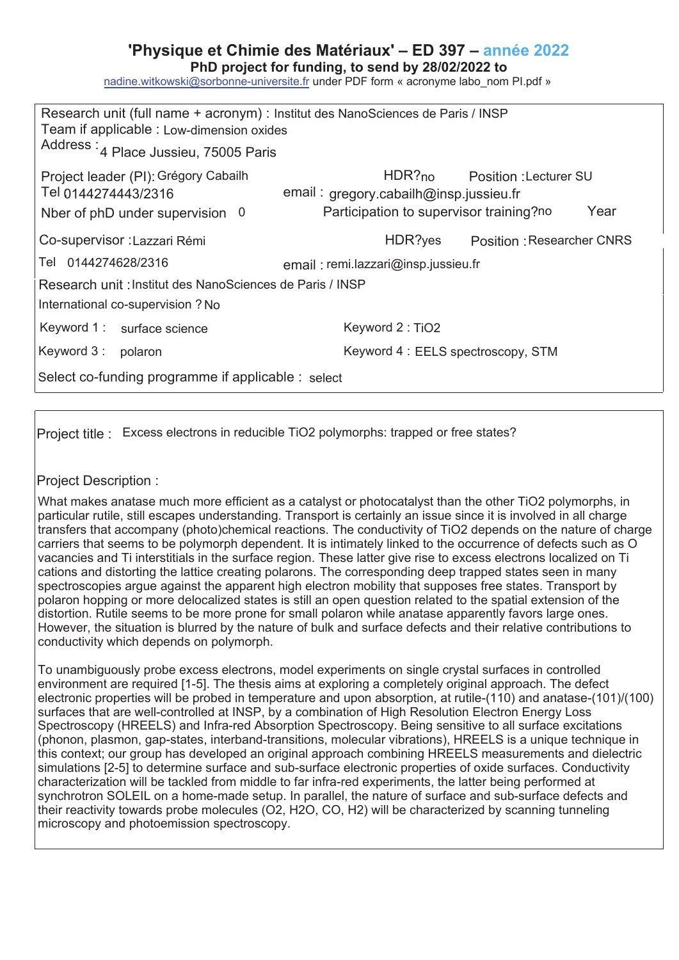## **'Physique et Chimie des Matériaux' – ED 397 – année 202**

PhD project for funding, to send by 28/02/2022 to

nadine.witkowski@sorbonne-universite.fr under PDF form « acronyme labo\_nom Pl.pdf »

| Research unit (full name + acronym) : Institut des NanoSciences de Paris / INSP<br>Team if applicable : Low-dimension oxides<br>Address : 4 Place Jussieu, 75005 Paris |                                                                                                                            |
|------------------------------------------------------------------------------------------------------------------------------------------------------------------------|----------------------------------------------------------------------------------------------------------------------------|
| Project leader (PI): Grégory Cabailh<br>Tel 0144274443/2316<br>Nber of phD under supervision 0                                                                         | HDR?no Position : Lecturer SU<br>email: gregory.cabailh@insp.jussieu.fr<br>Participation to supervisor training?no<br>Year |
| Co-supervisor : Lazzari Rémi                                                                                                                                           | HDR?yes<br><b>Position: Researcher CNRS</b>                                                                                |
| Tel 0144274628/2316                                                                                                                                                    | email: remi.lazzari@insp.jussieu.fr                                                                                        |
| Research unit : Institut des NanoSciences de Paris / INSP                                                                                                              |                                                                                                                            |
| International co-supervision ? No                                                                                                                                      |                                                                                                                            |
| Keyword 1: surface science                                                                                                                                             | Keyword 2: TiO2                                                                                                            |
| Keyword 3: polaron                                                                                                                                                     | Keyword 4: EELS spectroscopy, STM                                                                                          |
| Select co-funding programme if applicable : select                                                                                                                     |                                                                                                                            |

Project title : Excess electrons in reducible TiO2 polymorphs: trapped or free states?

## Project Description :

What makes anatase much more efficient as a catalyst or photocatalyst than the other TiO2 polymorphs, in particular rutile, still escapes understanding. Transport is certainly an issue since it is involved in all charge transfers that accompany (photo)chemical reactions. The conductivity of TiO2 depends on the nature of charge carriers that seems to be polymorph dependent. It is intimately linked to the occurrence of defects such as O vacancies and Ti interstitials in the surface region. These latter give rise to excess electrons localized on Ti cations and distorting the lattice creating polarons. The corresponding deep trapped states seen in many spectroscopies argue against the apparent high electron mobility that supposes free states. Transport by polaron hopping or more delocalized states is still an open question related to the spatial extension of the distortion. Rutile seems to be more prone for small polaron while anatase apparently favors large ones. However, the situation is blurred by the nature of bulk and surface defects and their relative contributions to conductivity which depends on polymorph.

To unambiguously probe excess electrons, model experiments on single crystal surfaces in controlled environment are required [1-5]. The thesis aims at exploring a completely original approach. The defect electronic properties will be probed in temperature and upon absorption, at rutile-(110) and anatase-(101)/(100) surfaces that are well-controlled at INSP, by a combination of High Resolution Electron Energy Loss Spectroscopy (HREELS) and Infra-red Absorption Spectroscopy. Being sensitive to all surface excitations (phonon, plasmon, gap-states, interband-transitions, molecular vibrations), HREELS is a unique technique in this context; our group has developed an original approach combining HREELS measurements and dielectric simulations [2-5] to determine surface and sub-surface electronic properties of oxide surfaces. Conductivity characterization will be tackled from middle to far infra-red experiments, the latter being performed at synchrotron SOLEIL on a home-made setup. In parallel, the nature of surface and sub-surface defects and their reactivity towards probe molecules (O2, H2O, CO, H2) will be characterized by scanning tunneling microscopy and photoemission spectroscopy.